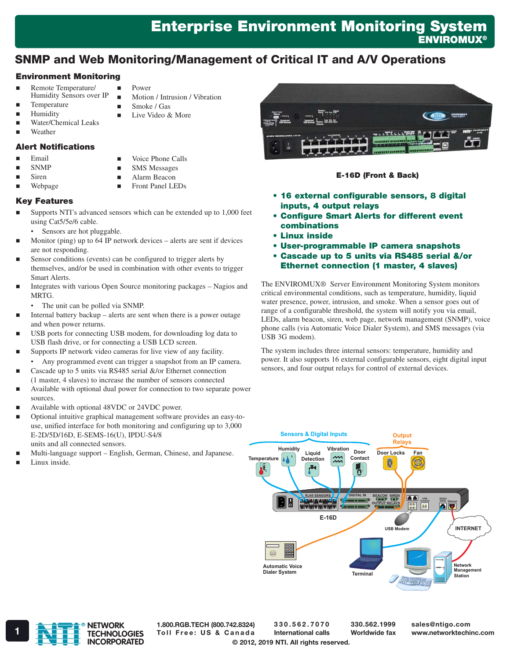# Enterprise Environment Monitoring System **ENVIROMUX®**

# SNMP and Web Monitoring/Management of Critical IT and A/V Operations

### Environment Monitoring

- Remote Temperature/ Humidity Sensors over IP
- **Temperature**
- **Humidity**
- Water/Chemical Leaks
- Weather

### Alert Notifications

Email

 SNMP Siren

Voice Phone Calls

Power

 $\blacksquare$  Smoke / Gas ■ Live Video & More

Motion / Intrusion / Vibration

- SMS Messages
- Alarm Beacon
- **Front Panel LEDs**

### Webpage Key Features

- Supports NTI's advanced sensors which can be extended up to 1,000 feet using Cat5/5e/6 cable.
- Sensors are hot pluggable.
- Monitor (ping) up to 64 IP network devices alerts are sent if devices are not responding.
- Sensor conditions (events) can be configured to trigger alerts by themselves, and/or be used in combination with other events to trigger Smart Alerts.
- Integrates with various Open Source monitoring packages Nagios and MRTG.
	- The unit can be polled via SNMP.
- Internal battery backup alerts are sent when there is a power outage and when power returns.
- USB ports for connecting USB modem, for downloading log data to USB flash drive, or for connecting a USB LCD screen.
- Supports IP network video cameras for live view of any facility.
	- Any programmed event can trigger a snapshot from an IP camera.
- Cascade up to 5 units via RS485 serial &/or Ethernet connection (1 master, 4 slaves) to increase the number of sensors connected
- Available with optional dual power for connection to two separate power sources.
- Available with optional 48VDC or 24VDC power.
- Optional intuitive graphical management software provides an easy-touse, unified interface for both monitoring and configuring up to 3,000 E-2D/5D/16D, E-SEMS-16(U), IPDU-S4/8 units and all connected sensors.
- Multi-language support English, German, Chinese, and Japanese.
- Linux inside.

**BALLTELLLE** 

#### E-16D (Front & Back)

- • 16 external configurable sensors, 8 digital inputs, 4 output relays
- • Configure Smart Alerts for different event combinations
- • Linux inside
- • User-programmable IP camera snapshots
- • Cascade up to 5 units via RS485 serial &/or Ethernet connection (1 master, 4 slaves)

The ENVIROMUX® Server Environment Monitoring System monitors critical environmental conditions, such as temperature, humidity, liquid water presence, power, intrusion, and smoke. When a sensor goes out of range of a configurable threshold, the system will notify you via email, LEDs, alarm beacon, siren, web page, network management (SNMP), voice phone calls (via Automatic Voice Dialer System), and SMS messages (via USB 3G modem).

The system includes three internal sensors: temperature, humidity and power. It also supports 16 external configurable sensors, eight digital input sensors, and four output relays for control of external devices.





1.800.RGB.TECH (800.742.8324)

330.562.7070 International calls

330.562.1999 Worldwide fax sales@ntigo.com

© 2012, 2019 NTI. All rights reserved.